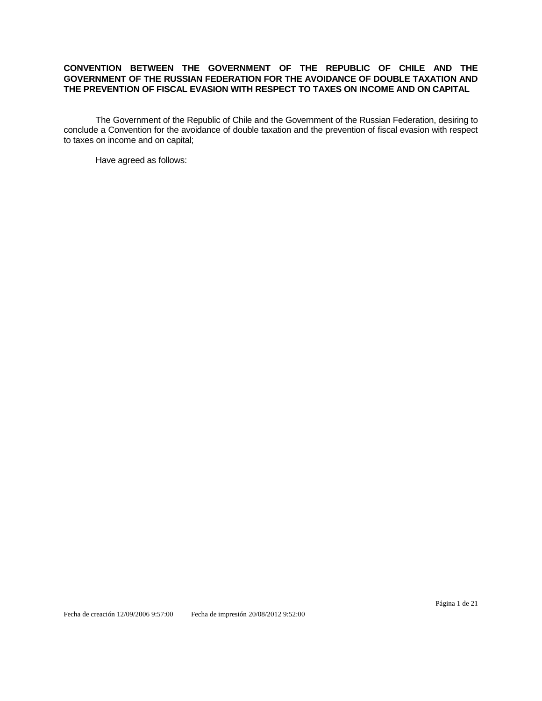# **CONVENTION BETWEEN THE GOVERNMENT OF THE REPUBLIC OF CHILE AND THE GOVERNMENT OF THE RUSSIAN FEDERATION FOR THE AVOIDANCE OF DOUBLE TAXATION AND THE PREVENTION OF FISCAL EVASION WITH RESPECT TO TAXES ON INCOME AND ON CAPITAL**

The Government of the Republic of Chile and the Government of the Russian Federation, desiring to conclude a Convention for the avoidance of double taxation and the prevention of fiscal evasion with respect to taxes on income and on capital;

Have agreed as follows: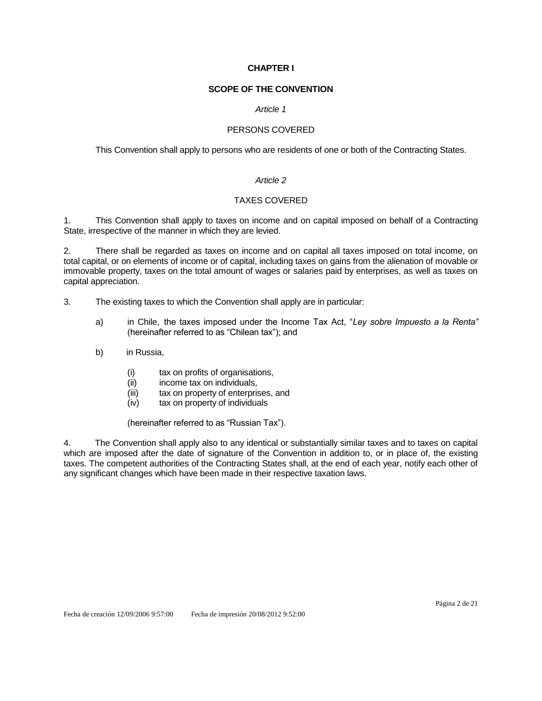# **CHAPTER I**

# **SCOPE OF THE CONVENTION**

# *Article 1*

# PERSONS COVERED

This Convention shall apply to persons who are residents of one or both of the Contracting States.

# *Article 2*

# TAXES COVERED

1. This Convention shall apply to taxes on income and on capital imposed on behalf of a Contracting State, irrespective of the manner in which they are levied.

2. There shall be regarded as taxes on income and on capital all taxes imposed on total income, on total capital, or on elements of income or of capital, including taxes on gains from the alienation of movable or immovable property, taxes on the total amount of wages or salaries paid by enterprises, as well as taxes on capital appreciation.

- 3. The existing taxes to which the Convention shall apply are in particular:
	- a) in Chile, the taxes imposed under the Income Tax Act, "*Ley sobre Impuesto a la Renta"* (hereinafter referred to as "Chilean tax"); and
	- b) in Russia,
		- (i) tax on profits of organisations,
		- (ii) income tax on individuals,
		- (iii) tax on property of enterprises, and
		- (iv) tax on property of individuals

(hereinafter referred to as "Russian Tax").

4. The Convention shall apply also to any identical or substantially similar taxes and to taxes on capital which are imposed after the date of signature of the Convention in addition to, or in place of, the existing taxes. The competent authorities of the Contracting States shall, at the end of each year, notify each other of any significant changes which have been made in their respective taxation laws.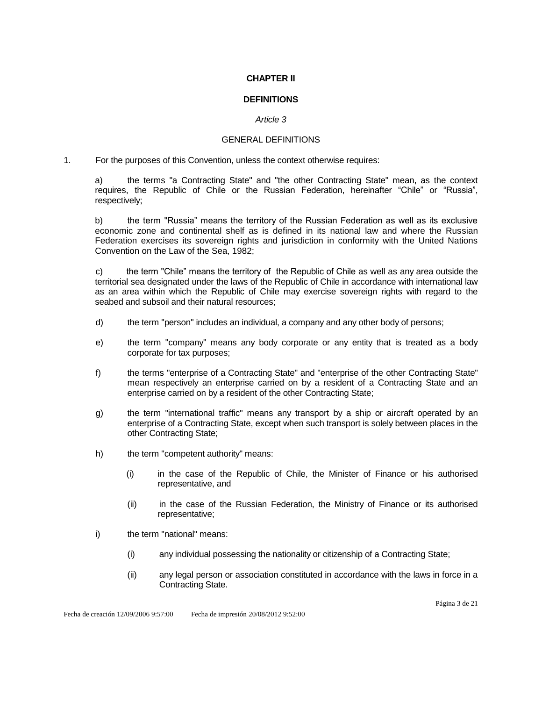# **CHAPTER II**

# **DEFINITIONS**

# *Article 3*

#### GENERAL DEFINITIONS

1. For the purposes of this Convention, unless the context otherwise requires:

a) the terms "a Contracting State" and "the other Contracting State" mean, as the context requires, the Republic of Chile or the Russian Federation, hereinafter "Chile" or "Russia", respectively;

b) the term "Russia" means the territory of the Russian Federation as well as its exclusive economic zone and continental shelf as is defined in its national law and where the Russian Federation exercises its sovereign rights and jurisdiction in conformity with the United Nations Convention on the Law of the Sea, 1982;

c) the term "Chile" means the territory of the Republic of Chile as well as any area outside the territorial sea designated under the laws of the Republic of Chile in accordance with international law as an area within which the Republic of Chile may exercise sovereign rights with regard to the seabed and subsoil and their natural resources;

- d) the term "person" includes an individual, a company and any other body of persons;
- e) the term "company" means any body corporate or any entity that is treated as a body corporate for tax purposes;
- f) the terms "enterprise of a Contracting State" and "enterprise of the other Contracting State" mean respectively an enterprise carried on by a resident of a Contracting State and an enterprise carried on by a resident of the other Contracting State;
- g) the term "international traffic" means any transport by a ship or aircraft operated by an enterprise of a Contracting State, except when such transport is solely between places in the other Contracting State;
- h) the term "competent authority" means:
	- (i) in the case of the Republic of Chile, the Minister of Finance or his authorised representative, and
	- (ii) in the case of the Russian Federation, the Ministry of Finance or its authorised representative;
- i) the term "national" means:
	- (i) any individual possessing the nationality or citizenship of a Contracting State;
	- (ii) any legal person or association constituted in accordance with the laws in force in a Contracting State.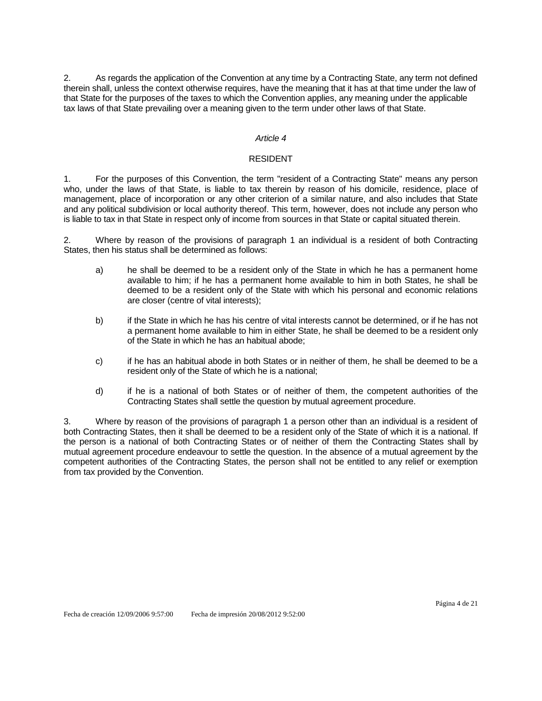2. As regards the application of the Convention at any time by a Contracting State, any term not defined therein shall, unless the context otherwise requires, have the meaning that it has at that time under the law of that State for the purposes of the taxes to which the Convention applies, any meaning under the applicable tax laws of that State prevailing over a meaning given to the term under other laws of that State.

# *Article 4*

#### RESIDENT

1. For the purposes of this Convention, the term "resident of a Contracting State" means any person who, under the laws of that State, is liable to tax therein by reason of his domicile, residence, place of management, place of incorporation or any other criterion of a similar nature, and also includes that State and any political subdivision or local authority thereof. This term, however, does not include any person who is liable to tax in that State in respect only of income from sources in that State or capital situated therein.

2. Where by reason of the provisions of paragraph 1 an individual is a resident of both Contracting States, then his status shall be determined as follows:

- a) he shall be deemed to be a resident only of the State in which he has a permanent home available to him; if he has a permanent home available to him in both States, he shall be deemed to be a resident only of the State with which his personal and economic relations are closer (centre of vital interests);
- b) if the State in which he has his centre of vital interests cannot be determined, or if he has not a permanent home available to him in either State, he shall be deemed to be a resident only of the State in which he has an habitual abode;
- c) if he has an habitual abode in both States or in neither of them, he shall be deemed to be a resident only of the State of which he is a national;
- d) if he is a national of both States or of neither of them, the competent authorities of the Contracting States shall settle the question by mutual agreement procedure.

3. Where by reason of the provisions of paragraph 1 a person other than an individual is a resident of both Contracting States, then it shall be deemed to be a resident only of the State of which it is a national. If the person is a national of both Contracting States or of neither of them the Contracting States shall by mutual agreement procedure endeavour to settle the question. In the absence of a mutual agreement by the competent authorities of the Contracting States, the person shall not be entitled to any relief or exemption from tax provided by the Convention.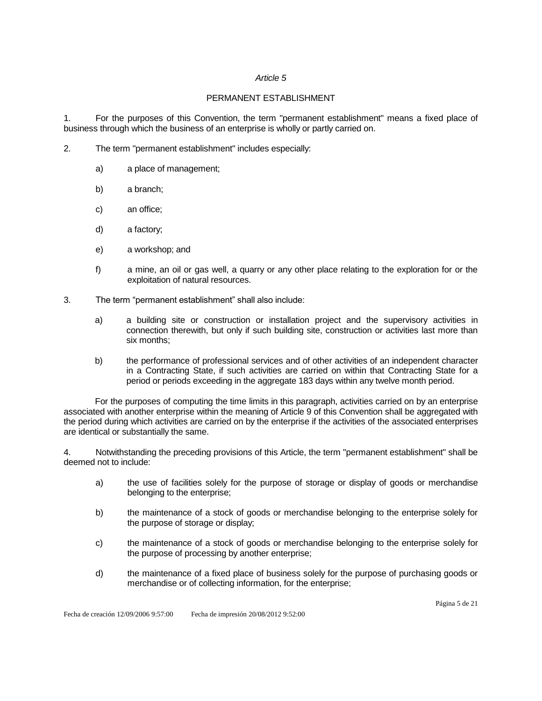# *Article 5*

# PERMANENT ESTABLISHMENT

1. For the purposes of this Convention, the term "permanent establishment" means a fixed place of business through which the business of an enterprise is wholly or partly carried on.

- 2. The term "permanent establishment" includes especially:
	- a) a place of management;
	- b) a branch;
	- c) an office;
	- d) a factory;
	- e) a workshop; and
	- f) a mine, an oil or gas well, a quarry or any other place relating to the exploration for or the exploitation of natural resources.
- 3. The term "permanent establishment" shall also include:
	- a) a building site or construction or installation project and the supervisory activities in connection therewith, but only if such building site, construction or activities last more than six months;
	- b) the performance of professional services and of other activities of an independent character in a Contracting State, if such activities are carried on within that Contracting State for a period or periods exceeding in the aggregate 183 days within any twelve month period.

For the purposes of computing the time limits in this paragraph, activities carried on by an enterprise associated with another enterprise within the meaning of Article 9 of this Convention shall be aggregated with the period during which activities are carried on by the enterprise if the activities of the associated enterprises are identical or substantially the same.

4. Notwithstanding the preceding provisions of this Article, the term "permanent establishment" shall be deemed not to include:

- a) the use of facilities solely for the purpose of storage or display of goods or merchandise belonging to the enterprise;
- b) the maintenance of a stock of goods or merchandise belonging to the enterprise solely for the purpose of storage or display;
- c) the maintenance of a stock of goods or merchandise belonging to the enterprise solely for the purpose of processing by another enterprise;
- d) the maintenance of a fixed place of business solely for the purpose of purchasing goods or merchandise or of collecting information, for the enterprise;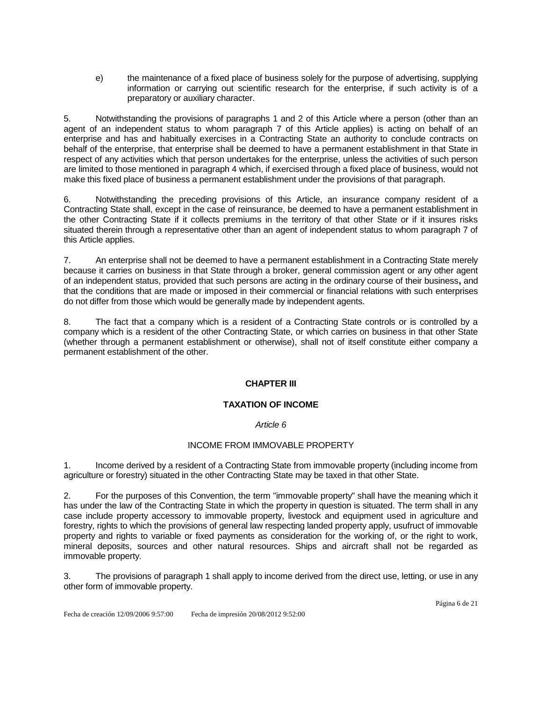e) the maintenance of a fixed place of business solely for the purpose of advertising, supplying information or carrying out scientific research for the enterprise, if such activity is of a preparatory or auxiliary character.

5. Notwithstanding the provisions of paragraphs 1 and 2 of this Article where a person (other than an agent of an independent status to whom paragraph 7 of this Article applies) is acting on behalf of an enterprise and has and habitually exercises in a Contracting State an authority to conclude contracts on behalf of the enterprise, that enterprise shall be deemed to have a permanent establishment in that State in respect of any activities which that person undertakes for the enterprise, unless the activities of such person are limited to those mentioned in paragraph 4 which, if exercised through a fixed place of business, would not make this fixed place of business a permanent establishment under the provisions of that paragraph.

6. Notwithstanding the preceding provisions of this Article, an insurance company resident of a Contracting State shall, except in the case of reinsurance, be deemed to have a permanent establishment in the other Contracting State if it collects premiums in the territory of that other State or if it insures risks situated therein through a representative other than an agent of independent status to whom paragraph 7 of this Article applies.

7. An enterprise shall not be deemed to have a permanent establishment in a Contracting State merely because it carries on business in that State through a broker, general commission agent or any other agent of an independent status, provided that such persons are acting in the ordinary course of their business**,** and that the conditions that are made or imposed in their commercial or financial relations with such enterprises do not differ from those which would be generally made by independent agents.

8. The fact that a company which is a resident of a Contracting State controls or is controlled by a company which is a resident of the other Contracting State, or which carries on business in that other State (whether through a permanent establishment or otherwise), shall not of itself constitute either company a permanent establishment of the other.

# **CHAPTER III**

# **TAXATION OF INCOME**

# *Article 6*

# INCOME FROM IMMOVABLE PROPERTY

1. Income derived by a resident of a Contracting State from immovable property (including income from agriculture or forestry) situated in the other Contracting State may be taxed in that other State.

2. For the purposes of this Convention, the term "immovable property" shall have the meaning which it has under the law of the Contracting State in which the property in question is situated. The term shall in any case include property accessory to immovable property, livestock and equipment used in agriculture and forestry, rights to which the provisions of general law respecting landed property apply, usufruct of immovable property and rights to variable or fixed payments as consideration for the working of, or the right to work, mineral deposits, sources and other natural resources. Ships and aircraft shall not be regarded as immovable property.

3. The provisions of paragraph 1 shall apply to income derived from the direct use, letting, or use in any other form of immovable property.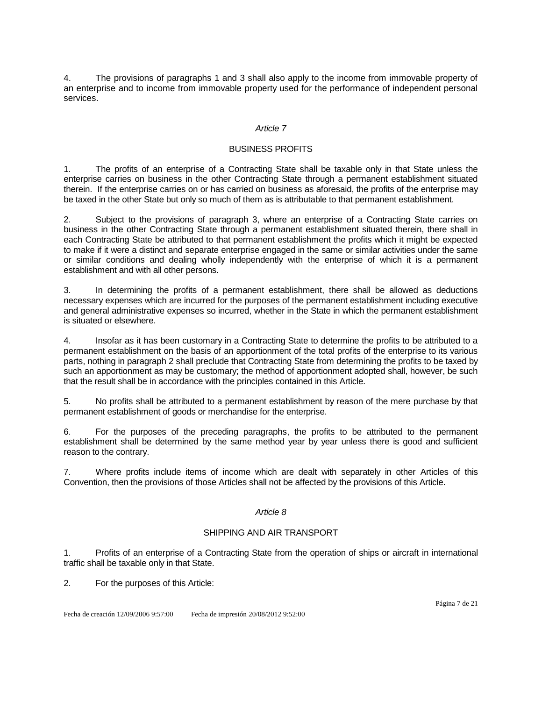4. The provisions of paragraphs 1 and 3 shall also apply to the income from immovable property of an enterprise and to income from immovable property used for the performance of independent personal services.

# *Article 7*

# BUSINESS PROFITS

1. The profits of an enterprise of a Contracting State shall be taxable only in that State unless the enterprise carries on business in the other Contracting State through a permanent establishment situated therein. If the enterprise carries on or has carried on business as aforesaid, the profits of the enterprise may be taxed in the other State but only so much of them as is attributable to that permanent establishment.

2. Subject to the provisions of paragraph 3, where an enterprise of a Contracting State carries on business in the other Contracting State through a permanent establishment situated therein, there shall in each Contracting State be attributed to that permanent establishment the profits which it might be expected to make if it were a distinct and separate enterprise engaged in the same or similar activities under the same or similar conditions and dealing wholly independently with the enterprise of which it is a permanent establishment and with all other persons.

3. In determining the profits of a permanent establishment, there shall be allowed as deductions necessary expenses which are incurred for the purposes of the permanent establishment including executive and general administrative expenses so incurred, whether in the State in which the permanent establishment is situated or elsewhere.

4. Insofar as it has been customary in a Contracting State to determine the profits to be attributed to a permanent establishment on the basis of an apportionment of the total profits of the enterprise to its various parts, nothing in paragraph 2 shall preclude that Contracting State from determining the profits to be taxed by such an apportionment as may be customary; the method of apportionment adopted shall, however, be such that the result shall be in accordance with the principles contained in this Article.

5. No profits shall be attributed to a permanent establishment by reason of the mere purchase by that permanent establishment of goods or merchandise for the enterprise.

6. For the purposes of the preceding paragraphs, the profits to be attributed to the permanent establishment shall be determined by the same method year by year unless there is good and sufficient reason to the contrary.

7. Where profits include items of income which are dealt with separately in other Articles of this Convention, then the provisions of those Articles shall not be affected by the provisions of this Article.

# *Article 8*

# SHIPPING AND AIR TRANSPORT

1. Profits of an enterprise of a Contracting State from the operation of ships or aircraft in international traffic shall be taxable only in that State.

2. For the purposes of this Article: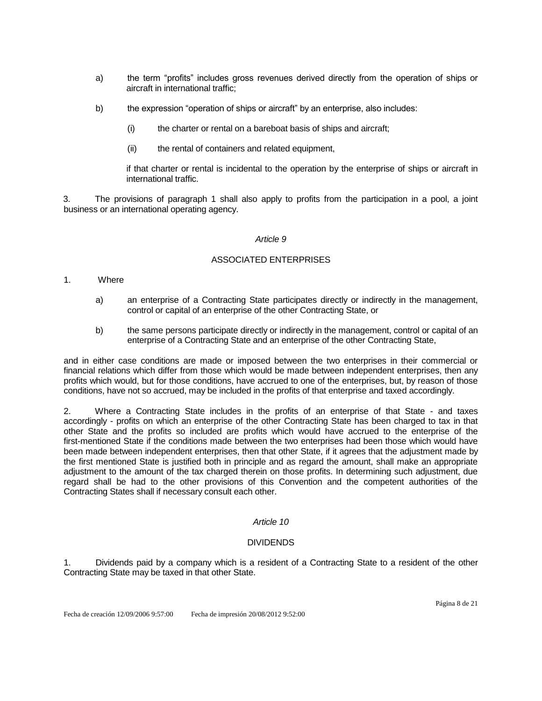- a) the term "profits" includes gross revenues derived directly from the operation of ships or aircraft in international traffic;
- b) the expression "operation of ships or aircraft" by an enterprise, also includes:
	- (i) the charter or rental on a bareboat basis of ships and aircraft;
	- (ii) the rental of containers and related equipment,

if that charter or rental is incidental to the operation by the enterprise of ships or aircraft in international traffic.

3. The provisions of paragraph 1 shall also apply to profits from the participation in a pool, a joint business or an international operating agency.

# *Article 9*

# ASSOCIATED ENTERPRISES

- 1. Where
	- a) an enterprise of a Contracting State participates directly or indirectly in the management, control or capital of an enterprise of the other Contracting State, or
	- b) the same persons participate directly or indirectly in the management, control or capital of an enterprise of a Contracting State and an enterprise of the other Contracting State,

and in either case conditions are made or imposed between the two enterprises in their commercial or financial relations which differ from those which would be made between independent enterprises, then any profits which would, but for those conditions, have accrued to one of the enterprises, but, by reason of those conditions, have not so accrued, may be included in the profits of that enterprise and taxed accordingly.

2. Where a Contracting State includes in the profits of an enterprise of that State - and taxes accordingly - profits on which an enterprise of the other Contracting State has been charged to tax in that other State and the profits so included are profits which would have accrued to the enterprise of the first-mentioned State if the conditions made between the two enterprises had been those which would have been made between independent enterprises, then that other State, if it agrees that the adjustment made by the first mentioned State is justified both in principle and as regard the amount, shall make an appropriate adjustment to the amount of the tax charged therein on those profits. In determining such adjustment, due regard shall be had to the other provisions of this Convention and the competent authorities of the Contracting States shall if necessary consult each other.

# *Article 10*

# DIVIDENDS

1. Dividends paid by a company which is a resident of a Contracting State to a resident of the other Contracting State may be taxed in that other State.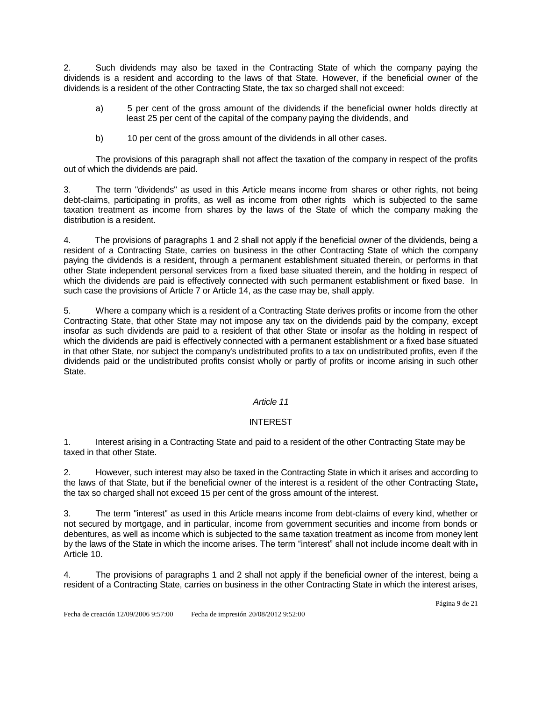2. Such dividends may also be taxed in the Contracting State of which the company paying the dividends is a resident and according to the laws of that State. However, if the beneficial owner of the dividends is a resident of the other Contracting State, the tax so charged shall not exceed:

- a) 5 per cent of the gross amount of the dividends if the beneficial owner holds directly at least 25 per cent of the capital of the company paying the dividends, and
- b) 10 per cent of the gross amount of the dividends in all other cases.

The provisions of this paragraph shall not affect the taxation of the company in respect of the profits out of which the dividends are paid.

3. The term "dividends" as used in this Article means income from shares or other rights, not being debt-claims, participating in profits, as well as income from other rights which is subjected to the same taxation treatment as income from shares by the laws of the State of which the company making the distribution is a resident.

4. The provisions of paragraphs 1 and 2 shall not apply if the beneficial owner of the dividends, being a resident of a Contracting State, carries on business in the other Contracting State of which the company paying the dividends is a resident, through a permanent establishment situated therein, or performs in that other State independent personal services from a fixed base situated therein, and the holding in respect of which the dividends are paid is effectively connected with such permanent establishment or fixed base. In such case the provisions of Article 7 or Article 14, as the case may be, shall apply.

5. Where a company which is a resident of a Contracting State derives profits or income from the other Contracting State, that other State may not impose any tax on the dividends paid by the company, except insofar as such dividends are paid to a resident of that other State or insofar as the holding in respect of which the dividends are paid is effectively connected with a permanent establishment or a fixed base situated in that other State, nor subject the company's undistributed profits to a tax on undistributed profits, even if the dividends paid or the undistributed profits consist wholly or partly of profits or income arising in such other State.

# *Article 11*

# **INTEREST**

1. Interest arising in a Contracting State and paid to a resident of the other Contracting State may be taxed in that other State.

2. However, such interest may also be taxed in the Contracting State in which it arises and according to the laws of that State, but if the beneficial owner of the interest is a resident of the other Contracting State**,**  the tax so charged shall not exceed 15 per cent of the gross amount of the interest.

3. The term "interest" as used in this Article means income from debt-claims of every kind, whether or not secured by mortgage, and in particular, income from government securities and income from bonds or debentures, as well as income which is subjected to the same taxation treatment as income from money lent by the laws of the State in which the income arises. The term "interest" shall not include income dealt with in Article 10.

4. The provisions of paragraphs 1 and 2 shall not apply if the beneficial owner of the interest, being a resident of a Contracting State, carries on business in the other Contracting State in which the interest arises,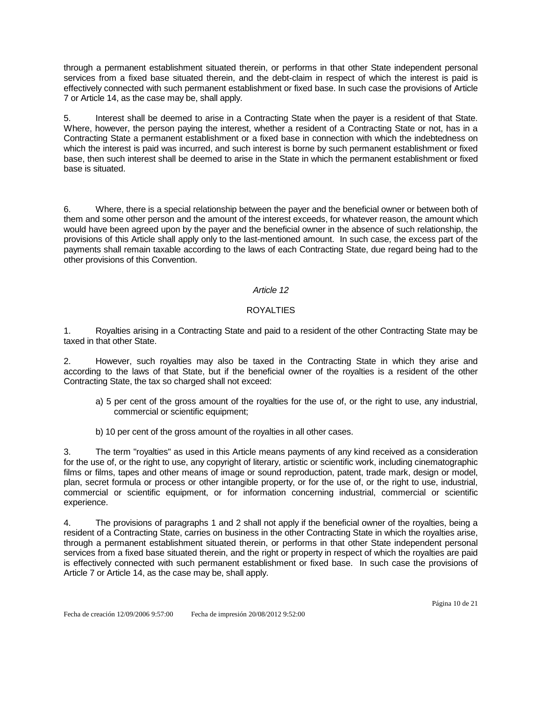through a permanent establishment situated therein, or performs in that other State independent personal services from a fixed base situated therein, and the debt-claim in respect of which the interest is paid is effectively connected with such permanent establishment or fixed base. In such case the provisions of Article 7 or Article 14, as the case may be, shall apply.

5. Interest shall be deemed to arise in a Contracting State when the payer is a resident of that State. Where, however, the person paying the interest, whether a resident of a Contracting State or not, has in a Contracting State a permanent establishment or a fixed base in connection with which the indebtedness on which the interest is paid was incurred, and such interest is borne by such permanent establishment or fixed base, then such interest shall be deemed to arise in the State in which the permanent establishment or fixed base is situated.

6. Where, there is a special relationship between the payer and the beneficial owner or between both of them and some other person and the amount of the interest exceeds, for whatever reason, the amount which would have been agreed upon by the payer and the beneficial owner in the absence of such relationship, the provisions of this Article shall apply only to the last-mentioned amount. In such case, the excess part of the payments shall remain taxable according to the laws of each Contracting State, due regard being had to the other provisions of this Convention.

# *Article 12*

# ROYALTIES

1. Royalties arising in a Contracting State and paid to a resident of the other Contracting State may be taxed in that other State.

2. However, such royalties may also be taxed in the Contracting State in which they arise and according to the laws of that State, but if the beneficial owner of the royalties is a resident of the other Contracting State, the tax so charged shall not exceed:

- a) 5 per cent of the gross amount of the royalties for the use of, or the right to use, any industrial, commercial or scientific equipment;
- b) 10 per cent of the gross amount of the royalties in all other cases.

3. The term "royalties" as used in this Article means payments of any kind received as a consideration for the use of, or the right to use, any copyright of literary, artistic or scientific work, including cinematographic films or films, tapes and other means of image or sound reproduction, patent, trade mark, design or model, plan, secret formula or process or other intangible property, or for the use of, or the right to use, industrial, commercial or scientific equipment, or for information concerning industrial, commercial or scientific experience.

4. The provisions of paragraphs 1 and 2 shall not apply if the beneficial owner of the royalties, being a resident of a Contracting State, carries on business in the other Contracting State in which the royalties arise, through a permanent establishment situated therein, or performs in that other State independent personal services from a fixed base situated therein, and the right or property in respect of which the royalties are paid is effectively connected with such permanent establishment or fixed base. In such case the provisions of Article 7 or Article 14, as the case may be, shall apply.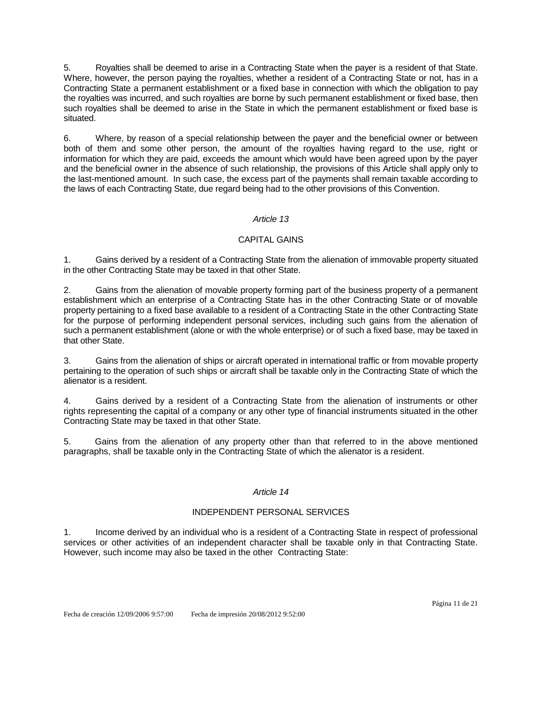5. Royalties shall be deemed to arise in a Contracting State when the payer is a resident of that State. Where, however, the person paying the royalties, whether a resident of a Contracting State or not, has in a Contracting State a permanent establishment or a fixed base in connection with which the obligation to pay the royalties was incurred, and such royalties are borne by such permanent establishment or fixed base, then such royalties shall be deemed to arise in the State in which the permanent establishment or fixed base is situated.

6. Where, by reason of a special relationship between the payer and the beneficial owner or between both of them and some other person, the amount of the royalties having regard to the use, right or information for which they are paid, exceeds the amount which would have been agreed upon by the payer and the beneficial owner in the absence of such relationship, the provisions of this Article shall apply only to the last-mentioned amount. In such case, the excess part of the payments shall remain taxable according to the laws of each Contracting State, due regard being had to the other provisions of this Convention.

# *Article 13*

# CAPITAL GAINS

1. Gains derived by a resident of a Contracting State from the alienation of immovable property situated in the other Contracting State may be taxed in that other State.

2. Gains from the alienation of movable property forming part of the business property of a permanent establishment which an enterprise of a Contracting State has in the other Contracting State or of movable property pertaining to a fixed base available to a resident of a Contracting State in the other Contracting State for the purpose of performing independent personal services, including such gains from the alienation of such a permanent establishment (alone or with the whole enterprise) or of such a fixed base, may be taxed in that other State.

3. Gains from the alienation of ships or aircraft operated in international traffic or from movable property pertaining to the operation of such ships or aircraft shall be taxable only in the Contracting State of which the alienator is a resident.

4. Gains derived by a resident of a Contracting State from the alienation of instruments or other rights representing the capital of a company or any other type of financial instruments situated in the other Contracting State may be taxed in that other State.

5. Gains from the alienation of any property other than that referred to in the above mentioned paragraphs, shall be taxable only in the Contracting State of which the alienator is a resident.

# *Article 14*

# INDEPENDENT PERSONAL SERVICES

1. Income derived by an individual who is a resident of a Contracting State in respect of professional services or other activities of an independent character shall be taxable only in that Contracting State. However, such income may also be taxed in the other Contracting State: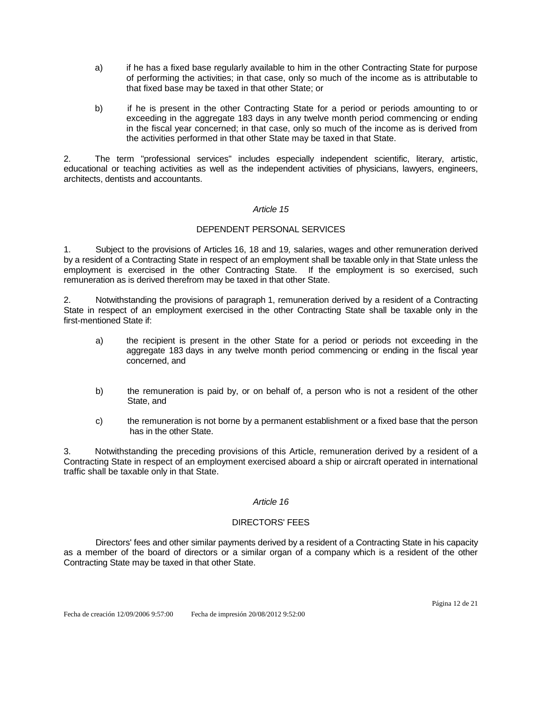- a) if he has a fixed base regularly available to him in the other Contracting State for purpose of performing the activities; in that case, only so much of the income as is attributable to that fixed base may be taxed in that other State; or
- b) if he is present in the other Contracting State for a period or periods amounting to or exceeding in the aggregate 183 days in any twelve month period commencing or ending in the fiscal year concerned; in that case, only so much of the income as is derived from the activities performed in that other State may be taxed in that State.

2. The term "professional services" includes especially independent scientific, literary, artistic, educational or teaching activities as well as the independent activities of physicians, lawyers, engineers, architects, dentists and accountants.

# *Article 15*

# DEPENDENT PERSONAL SERVICES

1. Subject to the provisions of Articles 16, 18 and 19*,* salaries, wages and other remuneration derived by a resident of a Contracting State in respect of an employment shall be taxable only in that State unless the employment is exercised in the other Contracting State. If the employment is so exercised, such remuneration as is derived therefrom may be taxed in that other State.

2. Notwithstanding the provisions of paragraph 1, remuneration derived by a resident of a Contracting State in respect of an employment exercised in the other Contracting State shall be taxable only in the first-mentioned State if:

- a) the recipient is present in the other State for a period or periods not exceeding in the aggregate 183 days in any twelve month period commencing or ending in the fiscal year concerned, and
- b) the remuneration is paid by, or on behalf of, a person who is not a resident of the other State, and
- c) the remuneration is not borne by a permanent establishment or a fixed base that the person has in the other State.

3. Notwithstanding the preceding provisions of this Article, remuneration derived by a resident of a Contracting State in respect of an employment exercised aboard a ship or aircraft operated in international traffic shall be taxable only in that State.

# *Article 16*

# DIRECTORS' FEES

Directors' fees and other similar payments derived by a resident of a Contracting State in his capacity as a member of the board of directors or a similar organ of a company which is a resident of the other Contracting State may be taxed in that other State.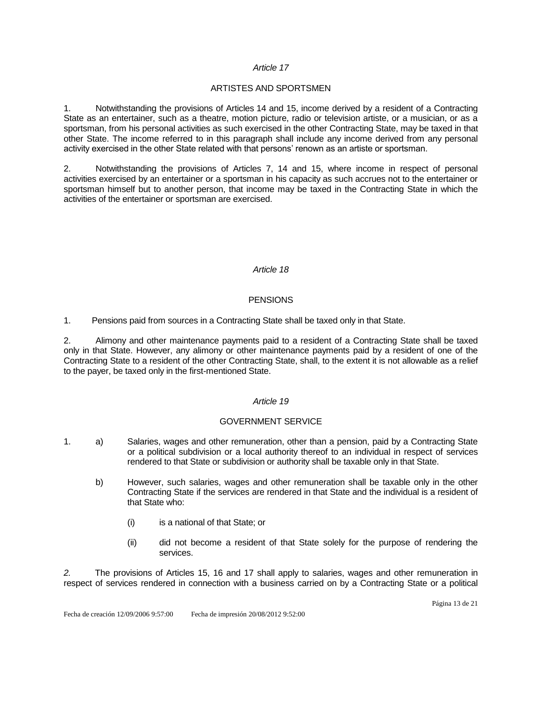#### *Article 17*

# ARTISTES AND SPORTSMEN

1. Notwithstanding the provisions of Articles 14 and 15, income derived by a resident of a Contracting State as an entertainer, such as a theatre, motion picture, radio or television artiste, or a musician, or as a sportsman, from his personal activities as such exercised in the other Contracting State, may be taxed in that other State. The income referred to in this paragraph shall include any income derived from any personal activity exercised in the other State related with that persons' renown as an artiste or sportsman.

2. Notwithstanding the provisions of Articles 7, 14 and 15, where income in respect of personal activities exercised by an entertainer or a sportsman in his capacity as such accrues not to the entertainer or sportsman himself but to another person, that income may be taxed in the Contracting State in which the activities of the entertainer or sportsman are exercised.

# *Article 18*

# **PENSIONS**

1. Pensions paid from sources in a Contracting State shall be taxed only in that State.

2. Alimony and other maintenance payments paid to a resident of a Contracting State shall be taxed only in that State. However, any alimony or other maintenance payments paid by a resident of one of the Contracting State to a resident of the other Contracting State, shall, to the extent it is not allowable as a relief to the payer, be taxed only in the first-mentioned State.

#### *Article 19*

# GOVERNMENT SERVICE

- 1. a) Salaries, wages and other remuneration, other than a pension, paid by a Contracting State or a political subdivision or a local authority thereof to an individual in respect of services rendered to that State or subdivision or authority shall be taxable only in that State.
	- b) However, such salaries, wages and other remuneration shall be taxable only in the other Contracting State if the services are rendered in that State and the individual is a resident of that State who:
		- (i) is a national of that State; or
		- (ii) did not become a resident of that State solely for the purpose of rendering the services.

*2.* The provisions of Articles 15, 16 and 17 shall apply to salaries, wages and other remuneration in respect of services rendered in connection with a business carried on by a Contracting State or a political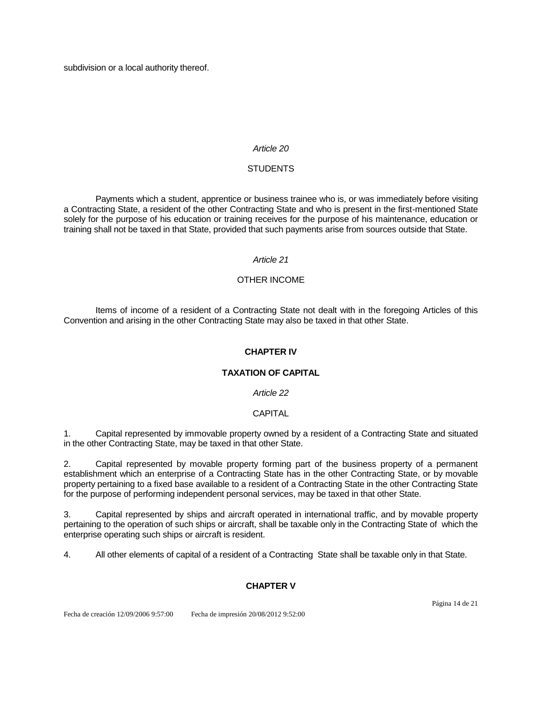subdivision or a local authority thereof.

# *Article 20*

# **STUDENTS**

Payments which a student, apprentice or business trainee who is, or was immediately before visiting a Contracting State, a resident of the other Contracting State and who is present in the first-mentioned State solely for the purpose of his education or training receives for the purpose of his maintenance, education or training shall not be taxed in that State, provided that such payments arise from sources outside that State.

#### *Article 21*

# OTHER INCOME

Items of income of a resident of a Contracting State not dealt with in the foregoing Articles of this Convention and arising in the other Contracting State may also be taxed in that other State.

# **CHAPTER IV**

# **TAXATION OF CAPITAL**

*Article 22*

# CAPITAL

1. Capital represented by immovable property owned by a resident of a Contracting State and situated in the other Contracting State, may be taxed in that other State.

2. Capital represented by movable property forming part of the business property of a permanent establishment which an enterprise of a Contracting State has in the other Contracting State, or by movable property pertaining to a fixed base available to a resident of a Contracting State in the other Contracting State for the purpose of performing independent personal services, may be taxed in that other State.

3. Capital represented by ships and aircraft operated in international traffic, and by movable property pertaining to the operation of such ships or aircraft, shall be taxable only in the Contracting State of which the enterprise operating such ships or aircraft is resident.

4. All other elements of capital of a resident of a Contracting State shall be taxable only in that State.

# **CHAPTER V**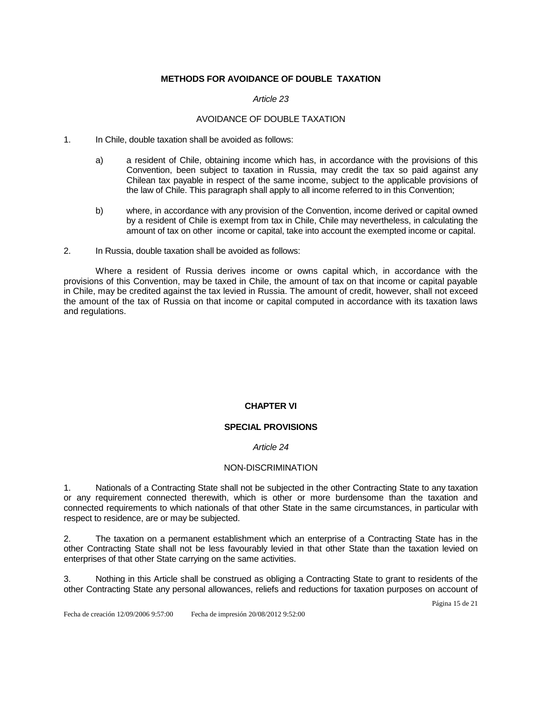# **METHODS FOR AVOIDANCE OF DOUBLE TAXATION**

# *Article 23*

# AVOIDANCE OF DOUBLE TAXATION

- 1. In Chile, double taxation shall be avoided as follows:
	- a) a resident of Chile, obtaining income which has, in accordance with the provisions of this Convention, been subject to taxation in Russia, may credit the tax so paid against any Chilean tax payable in respect of the same income, subject to the applicable provisions of the law of Chile. This paragraph shall apply to all income referred to in this Convention;
	- b) where, in accordance with any provision of the Convention, income derived or capital owned by a resident of Chile is exempt from tax in Chile, Chile may nevertheless, in calculating the amount of tax on other income or capital, take into account the exempted income or capital.
- 2. In Russia, double taxation shall be avoided as follows:

Where a resident of Russia derives income or owns capital which, in accordance with the provisions of this Convention, may be taxed in Chile, the amount of tax on that income or capital payable in Chile, may be credited against the tax levied in Russia. The amount of credit, however, shall not exceed the amount of the tax of Russia on that income or capital computed in accordance with its taxation laws and regulations.

# **CHAPTER VI**

# **SPECIAL PROVISIONS**

# *Article 24*

# NON-DISCRIMINATION

1. Nationals of a Contracting State shall not be subjected in the other Contracting State to any taxation or any requirement connected therewith, which is other or more burdensome than the taxation and connected requirements to which nationals of that other State in the same circumstances, in particular with respect to residence, are or may be subjected.

2. The taxation on a permanent establishment which an enterprise of a Contracting State has in the other Contracting State shall not be less favourably levied in that other State than the taxation levied on enterprises of that other State carrying on the same activities.

3. Nothing in this Article shall be construed as obliging a Contracting State to grant to residents of the other Contracting State any personal allowances, reliefs and reductions for taxation purposes on account of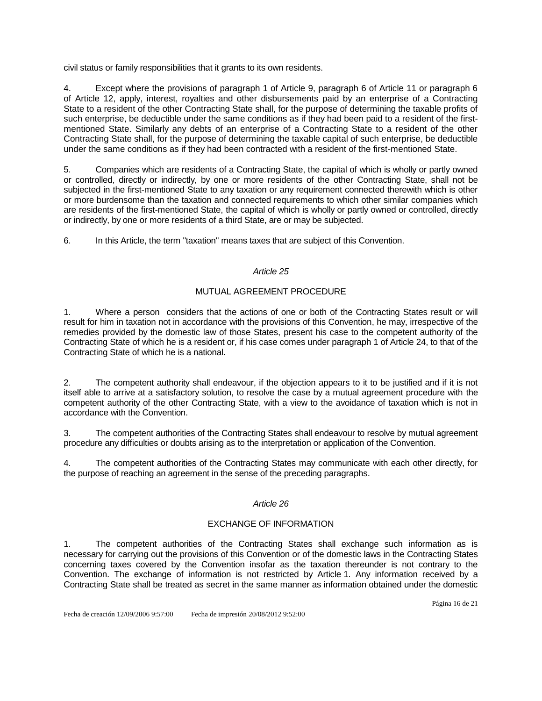civil status or family responsibilities that it grants to its own residents.

4. Except where the provisions of paragraph 1 of Article 9, paragraph 6 of Article 11 or paragraph 6 of Article 12, apply, interest, royalties and other disbursements paid by an enterprise of a Contracting State to a resident of the other Contracting State shall, for the purpose of determining the taxable profits of such enterprise, be deductible under the same conditions as if they had been paid to a resident of the firstmentioned State. Similarly any debts of an enterprise of a Contracting State to a resident of the other Contracting State shall, for the purpose of determining the taxable capital of such enterprise, be deductible under the same conditions as if they had been contracted with a resident of the first-mentioned State.

5. Companies which are residents of a Contracting State, the capital of which is wholly or partly owned or controlled, directly or indirectly, by one or more residents of the other Contracting State, shall not be subjected in the first-mentioned State to any taxation or any requirement connected therewith which is other or more burdensome than the taxation and connected requirements to which other similar companies which are residents of the first-mentioned State, the capital of which is wholly or partly owned or controlled, directly or indirectly, by one or more residents of a third State, are or may be subjected.

6. In this Article, the term "taxation" means taxes that are subject of this Convention.

# *Article 25*

# MUTUAL AGREEMENT PROCEDURE

1. Where a person considers that the actions of one or both of the Contracting States result or will result for him in taxation not in accordance with the provisions of this Convention, he may, irrespective of the remedies provided by the domestic law of those States, present his case to the competent authority of the Contracting State of which he is a resident or, if his case comes under paragraph 1 of Article 24, to that of the Contracting State of which he is a national.

2. The competent authority shall endeavour, if the objection appears to it to be justified and if it is not itself able to arrive at a satisfactory solution, to resolve the case by a mutual agreement procedure with the competent authority of the other Contracting State, with a view to the avoidance of taxation which is not in accordance with the Convention.

3. The competent authorities of the Contracting States shall endeavour to resolve by mutual agreement procedure any difficulties or doubts arising as to the interpretation or application of the Convention.

4. The competent authorities of the Contracting States may communicate with each other directly, for the purpose of reaching an agreement in the sense of the preceding paragraphs.

# *Article 26*

# EXCHANGE OF INFORMATION

1. The competent authorities of the Contracting States shall exchange such information as is necessary for carrying out the provisions of this Convention or of the domestic laws in the Contracting States concerning taxes covered by the Convention insofar as the taxation thereunder is not contrary to the Convention. The exchange of information is not restricted by Article 1. Any information received by a Contracting State shall be treated as secret in the same manner as information obtained under the domestic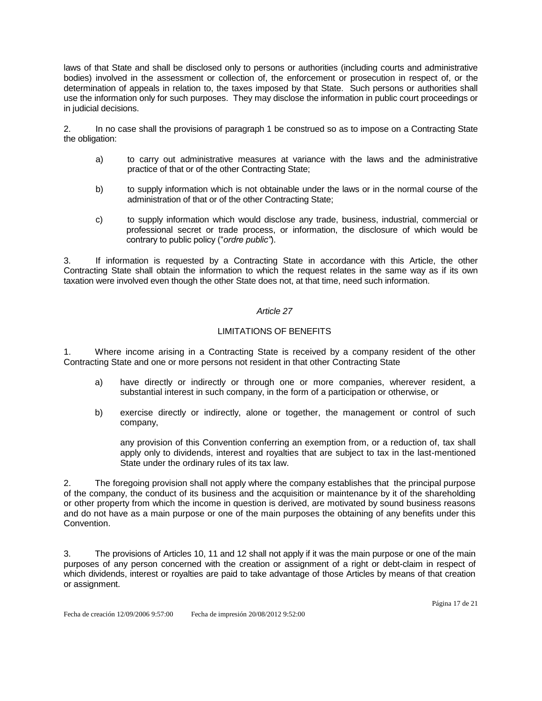laws of that State and shall be disclosed only to persons or authorities (including courts and administrative bodies) involved in the assessment or collection of, the enforcement or prosecution in respect of, or the determination of appeals in relation to, the taxes imposed by that State. Such persons or authorities shall use the information only for such purposes. They may disclose the information in public court proceedings or in judicial decisions.

2. In no case shall the provisions of paragraph 1 be construed so as to impose on a Contracting State the obligation:

- a) to carry out administrative measures at variance with the laws and the administrative practice of that or of the other Contracting State;
- b) to supply information which is not obtainable under the laws or in the normal course of the administration of that or of the other Contracting State;
- c) to supply information which would disclose any trade, business, industrial, commercial or professional secret or trade process, or information, the disclosure of which would be contrary to public policy ("*ordre public"*).

3. If information is requested by a Contracting State in accordance with this Article, the other Contracting State shall obtain the information to which the request relates in the same way as if its own taxation were involved even though the other State does not, at that time, need such information.

# *Article 27*

# LIMITATIONS OF BENEFITS

1. Where income arising in a Contracting State is received by a company resident of the other Contracting State and one or more persons not resident in that other Contracting State

- a) have directly or indirectly or through one or more companies, wherever resident, a substantial interest in such company, in the form of a participation or otherwise, or
- b) exercise directly or indirectly, alone or together, the management or control of such company,

any provision of this Convention conferring an exemption from, or a reduction of, tax shall apply only to dividends, interest and royalties that are subject to tax in the last-mentioned State under the ordinary rules of its tax law.

2. The foregoing provision shall not apply where the company establishes that the principal purpose of the company, the conduct of its business and the acquisition or maintenance by it of the shareholding or other property from which the income in question is derived, are motivated by sound business reasons and do not have as a main purpose or one of the main purposes the obtaining of any benefits under this Convention.

3. The provisions of Articles 10, 11 and 12 shall not apply if it was the main purpose or one of the main purposes of any person concerned with the creation or assignment of a right or debt-claim in respect of which dividends, interest or royalties are paid to take advantage of those Articles by means of that creation or assignment.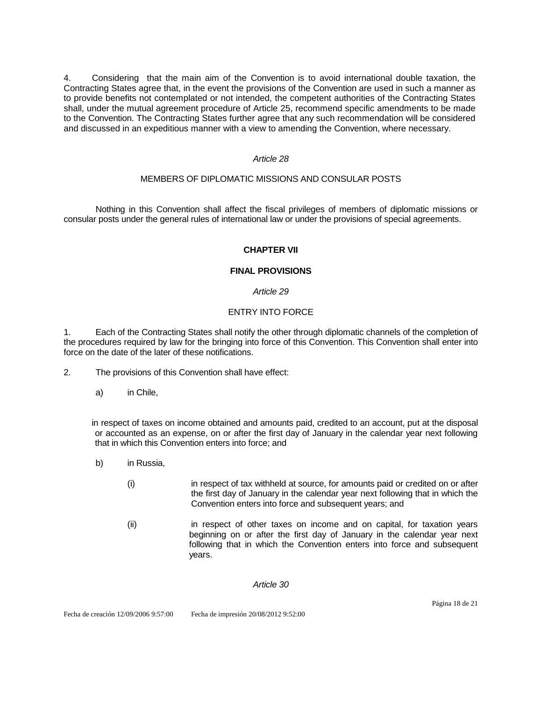4. Considering that the main aim of the Convention is to avoid international double taxation, the Contracting States agree that, in the event the provisions of the Convention are used in such a manner as to provide benefits not contemplated or not intended, the competent authorities of the Contracting States shall, under the mutual agreement procedure of Article 25, recommend specific amendments to be made to the Convention. The Contracting States further agree that any such recommendation will be considered and discussed in an expeditious manner with a view to amending the Convention, where necessary.

#### *Article 28*

# MEMBERS OF DIPLOMATIC MISSIONS AND CONSULAR POSTS

Nothing in this Convention shall affect the fiscal privileges of members of diplomatic missions or consular posts under the general rules of international law or under the provisions of special agreements.

# **CHAPTER VII**

#### **FINAL PROVISIONS**

#### *Article 29*

#### ENTRY INTO FORCE

1. Each of the Contracting States shall notify the other through diplomatic channels of the completion of the procedures required by law for the bringing into force of this Convention. This Convention shall enter into force on the date of the later of these notifications.

- 2. The provisions of this Convention shall have effect:
	- a) in Chile,

 in respect of taxes on income obtained and amounts paid, credited to an account, put at the disposal or accounted as an expense, on or after the first day of January in the calendar year next following that in which this Convention enters into force; and

- b) in Russia,
	- (i) in respect of tax withheld at source, for amounts paid or credited on or after the first day of January in the calendar year next following that in which the Convention enters into force and subsequent years; and
	- (ii) in respect of other taxes on income and on capital, for taxation years beginning on or after the first day of January in the calendar year next following that in which the Convention enters into force and subsequent years.

#### *Article 30*

Página 18 de 21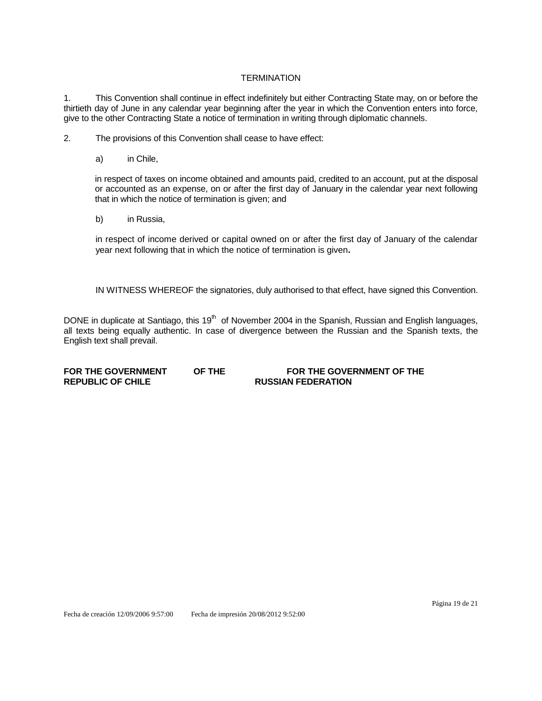# **TERMINATION**

1. This Convention shall continue in effect indefinitely but either Contracting State may, on or before the thirtieth day of June in any calendar year beginning after the year in which the Convention enters into force, give to the other Contracting State a notice of termination in writing through diplomatic channels.

2. The provisions of this Convention shall cease to have effect:

a) in Chile,

in respect of taxes on income obtained and amounts paid, credited to an account, put at the disposal or accounted as an expense, on or after the first day of January in the calendar year next following that in which the notice of termination is given; and

b) in Russia,

in respect of income derived or capital owned on or after the first day of January of the calendar year next following that in which the notice of termination is given**.**

IN WITNESS WHEREOF the signatories, duly authorised to that effect, have signed this Convention.

DONE in duplicate at Santiago, this 19<sup>th</sup> of November 2004 in the Spanish, Russian and English languages, all texts being equally authentic. In case of divergence between the Russian and the Spanish texts, the English text shall prevail.

**REPUBLIC OF CHILE RUSSIAN FEDERATION**

# **FOR THE GOVERNMENT OF THE FOR THE GOVERNMENT OF THE**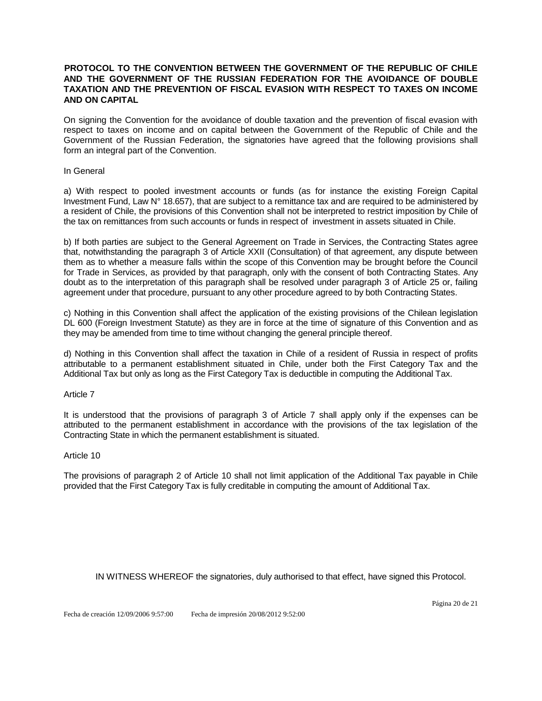# **PROTOCOL TO THE CONVENTION BETWEEN THE GOVERNMENT OF THE REPUBLIC OF CHILE AND THE GOVERNMENT OF THE RUSSIAN FEDERATION FOR THE AVOIDANCE OF DOUBLE TAXATION AND THE PREVENTION OF FISCAL EVASION WITH RESPECT TO TAXES ON INCOME AND ON CAPITAL**

On signing the Convention for the avoidance of double taxation and the prevention of fiscal evasion with respect to taxes on income and on capital between the Government of the Republic of Chile and the Government of the Russian Federation, the signatories have agreed that the following provisions shall form an integral part of the Convention.

#### In General

a) With respect to pooled investment accounts or funds (as for instance the existing Foreign Capital Investment Fund, Law N° 18.657), that are subject to a remittance tax and are required to be administered by a resident of Chile, the provisions of this Convention shall not be interpreted to restrict imposition by Chile of the tax on remittances from such accounts or funds in respect of investment in assets situated in Chile.

b) If both parties are subject to the General Agreement on Trade in Services, the Contracting States agree that, notwithstanding the paragraph 3 of Article XXII (Consultation) of that agreement, any dispute between them as to whether a measure falls within the scope of this Convention may be brought before the Council for Trade in Services, as provided by that paragraph, only with the consent of both Contracting States. Any doubt as to the interpretation of this paragraph shall be resolved under paragraph 3 of Article 25 or, failing agreement under that procedure, pursuant to any other procedure agreed to by both Contracting States.

c) Nothing in this Convention shall affect the application of the existing provisions of the Chilean legislation DL 600 (Foreign Investment Statute) as they are in force at the time of signature of this Convention and as they may be amended from time to time without changing the general principle thereof.

d) Nothing in this Convention shall affect the taxation in Chile of a resident of Russia in respect of profits attributable to a permanent establishment situated in Chile, under both the First Category Tax and the Additional Tax but only as long as the First Category Tax is deductible in computing the Additional Tax.

# Article 7

It is understood that the provisions of paragraph 3 of Article 7 shall apply only if the expenses can be attributed to the permanent establishment in accordance with the provisions of the tax legislation of the Contracting State in which the permanent establishment is situated.

# Article 10

The provisions of paragraph 2 of Article 10 shall not limit application of the Additional Tax payable in Chile provided that the First Category Tax is fully creditable in computing the amount of Additional Tax.

IN WITNESS WHEREOF the signatories, duly authorised to that effect, have signed this Protocol.